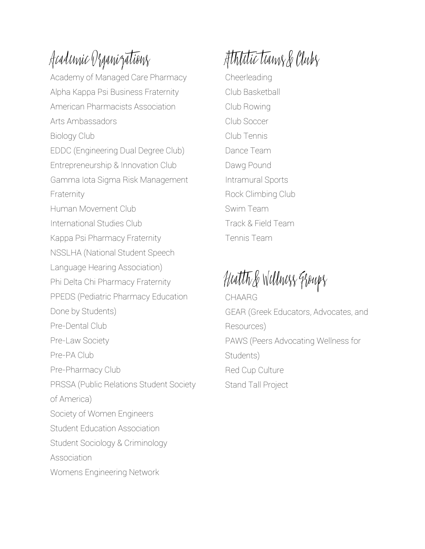### Academic Organizations

Academy of Managed Care Pharmacy Alpha Kappa Psi Business Fraternity American Pharmacists Association Arts Ambassadors Biology Club EDDC (Engineering Dual Degree Club) Entrepreneurship & Innovation Club Gamma Iota Sigma Risk Management Fraternity Human Movement Club International Studies Club Kappa Psi Pharmacy Fraternity NSSLHA (National Student Speech Language Hearing Association) Phi Delta Chi Pharmacy Fraternity PPEDS (Pediatric Pharmacy Education Done by Students) Pre-Dental Club Pre-Law Society Pre-PA Club Pre-Pharmacy Club PRSSA (Public Relations Student Society of America) Society of Women Engineers Student Education Association Student Sociology & Criminology **Association** Womens Engineering Network

## Athletic teams & Clubs

Cheerleading Club Basketball Club Rowing Club Soccer Club Tennis Dance Team Dawg Pound Intramural Sports Rock Climbing Club Swim Team Track & Field Team Tennis Team

# Health & Wellness Groups

CHAARG GEAR (Greek Educators, Advocates, and Resources) PAWS (Peers Advocating Wellness for Students) Red Cup Culture Stand Tall Project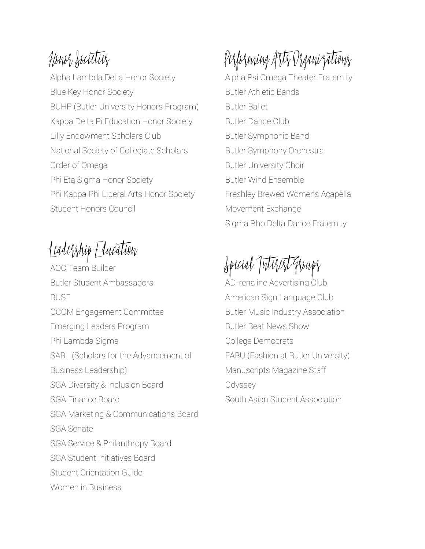#### Honor Societies

Alpha Lambda Delta Honor Society Blue Key Honor Society BUHP (Butler University Honors Program) Kappa Delta Pi Education Honor Society Lilly Endowment Scholars Club National Society of Collegiate Scholars Order of Omega Phi Eta Sigma Honor Society Phi Kappa Phi Liberal Arts Honor Society Student Honors Council

#### Leadership Education

AOC Team Builder Butler Student Ambassadors BUSF CCOM Engagement Committee Emerging Leaders Program Phi Lambda Sigma SABL (Scholars for the Advancement of Business Leadership) SGA Diversity & Inclusion Board SGA Finance Board SGA Marketing & Communications Board SGA Senate SGA Service & Philanthropy Board SGA Student Initiatives Board Student Orientation Guide Women in Business

## Performing Arts Organizations

Alpha Psi Omega Theater Fraternity Butler Athletic Bands Butler Ballet Butler Dance Club Butler Symphonic Band Butler Symphony Orchestra Butler University Choir Butler Wind Ensemble Freshley Brewed Womens Acapella Movement Exchange Sigma Rho Delta Dance Fraternity

## Special Tute

AD-renaline Advertising Club American Sign Language Club Butler Music Industry Association Butler Beat News Show College Democrats FABU (Fashion at Butler University) Manuscripts Magazine Staff **Odyssey** South Asian Student Association